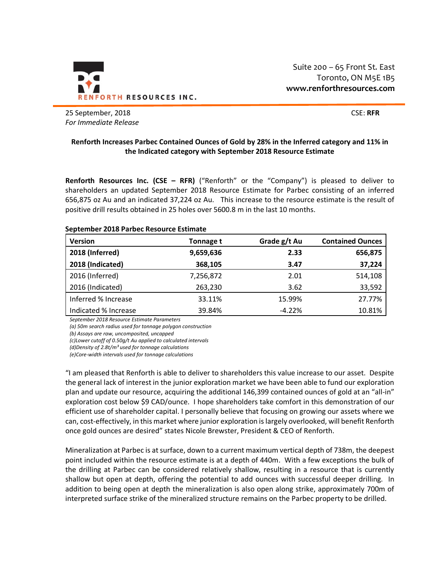

25 September, 2018 CSE: **RFR** *For Immediate Release*

## **Renforth Increases Parbec Contained Ounces of Gold by 28% in the Inferred category and 11% in the Indicated category with September 2018 Resource Estimate**

**Renforth Resources Inc. (CSE – RFR)** ("Renforth" or the "Company") is pleased to deliver to shareholders an updated September 2018 Resource Estimate for Parbec consisting of an inferred 656,875 oz Au and an indicated 37,224 oz Au. This increase to the resource estimate is the result of positive drill results obtained in 25 holes over 5600.8 m in the last 10 months.

## **September 2018 Parbec Resource Estimate**

| <b>Version</b>       | Tonnage t | Grade g/t Au | <b>Contained Ounces</b> |
|----------------------|-----------|--------------|-------------------------|
| 2018 (Inferred)      | 9,659,636 | 2.33         | 656,875                 |
| 2018 (Indicated)     | 368,105   | 3.47         | 37,224                  |
| 2016 (Inferred)      | 7,256,872 | 2.01         | 514,108                 |
| 2016 (Indicated)     | 263,230   | 3.62         | 33,592                  |
| Inferred % Increase  | 33.11%    | 15.99%       | 27.77%                  |
| Indicated % Increase | 39.84%    | $-4.22%$     | 10.81%                  |

*September 2018 Resource Estimate Parameters*

*(a) 50m search radius used for tonnage polygon construction*

*(b) Assays are raw, uncomposited, uncapped*

*(c)Lower cutoff of 0.50g/t Au applied to calculated intervals*

*(d)Density of 2.8t/m³ used for tonnage calculations*

*(e)Core-width intervals used for tonnage calculations*

"I am pleased that Renforth is able to deliver to shareholders this value increase to our asset. Despite the general lack of interest in the junior exploration market we have been able to fund our exploration plan and update our resource, acquiring the additional 146,399 contained ounces of gold at an "all-in" exploration cost below \$9 CAD/ounce. I hope shareholders take comfort in this demonstration of our efficient use of shareholder capital. I personally believe that focusing on growing our assets where we can, cost-effectively, in this market where junior exploration is largely overlooked, will benefit Renforth once gold ounces are desired" states Nicole Brewster, President & CEO of Renforth.

Mineralization at Parbec is at surface, down to a current maximum vertical depth of 738m, the deepest point included within the resource estimate is at a depth of 440m. With a few exceptions the bulk of the drilling at Parbec can be considered relatively shallow, resulting in a resource that is currently shallow but open at depth, offering the potential to add ounces with successful deeper drilling. In addition to being open at depth the mineralization is also open along strike, approximately 700m of interpreted surface strike of the mineralized structure remains on the Parbec property to be drilled.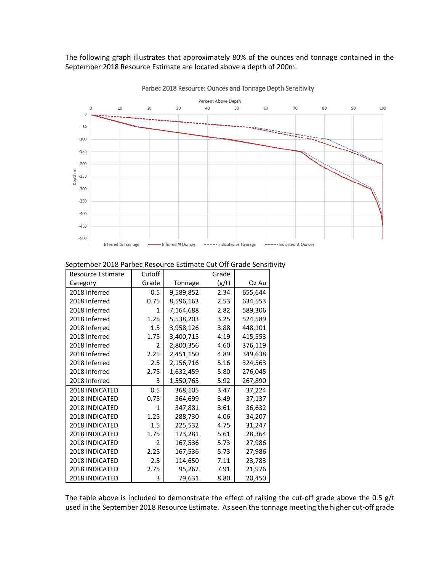The following graph illustrates that approximately 80% of the ounces and tonnage contained in the September 2018 Resource Estimate are located above a depth of 200m.



Parbec 2018 Resource: Ounces and Tonnage Depth Sensitivity

| <b>Resource Estimate</b> | Cutoff        |           | Grade |         |
|--------------------------|---------------|-----------|-------|---------|
| Category                 | Grade         | Tonnage   | (g/t) | Oz Au   |
| 2018 Inferred            | 0.5           | 9,589,852 | 2.34  | 655,644 |
| 2018 Inferred            | 0.75          | 8,596,163 | 2.53  | 634,553 |
| 2018 Inferred            | 1             | 7,164,688 | 2.82  | 589,306 |
| 2018 Inferred            | 1.25          | 5,538,203 | 3.25  | 524,589 |
| 2018 Inferred            | 1.5           | 3,958,126 | 3.88  | 448,101 |
| 2018 Inferred            | 1.75          | 3,400,715 | 4.19  | 415,553 |
| 2018 Inferred            | 2             | 2,800,356 | 4.60  | 376,119 |
| 2018 Inferred            | 2.25          | 2,451,150 | 4.89  | 349,638 |
| 2018 Inferred            | 2.5           | 2,156,716 | 5.16  | 324,563 |
| 2018 Inferred            | 2.75          | 1,632,459 | 5.80  | 276,045 |
| 2018 Inferred            | 3             | 1,550,765 | 5.92  | 267,890 |
| 2018 INDICATED           | 0.5           | 368,105   | 3.47  | 37,224  |
| 2018 INDICATED           | 0.75          | 364,699   | 3.49  | 37,137  |
| 2018 INDICATED           | 1             | 347,881   | 3.61  | 36,632  |
| 2018 INDICATED           | 1.25          | 288,730   | 4.06  | 34,207  |
| 2018 INDICATED           | $1.5\,$       | 225,532   | 4.75  | 31,247  |
| 2018 INDICATED           | 1.75          | 173,281   | 5.61  | 28,364  |
| 2018 INDICATED           | $\mathfrak z$ | 167,536   | 5.73  | 27,986  |
| 2018 INDICATED           | 2.25          | 167,536   | 5.73  | 27,986  |
| 2018 INDICATED           | 2.5           | 114,650   | 7.11  | 23,783  |
| 2018 INDICATED           | 2.75          | 95,262    | 7.91  | 21,976  |
| 2018 INDICATED           | 3             | 79,631    | 8.80  | 20,450  |

The table above is included to demonstrate the effect of raising the cut-off grade above the 0.5 g/t used in the September 2018 Resource Estimate. As seen the tonnage meeting the higher cut-off grade